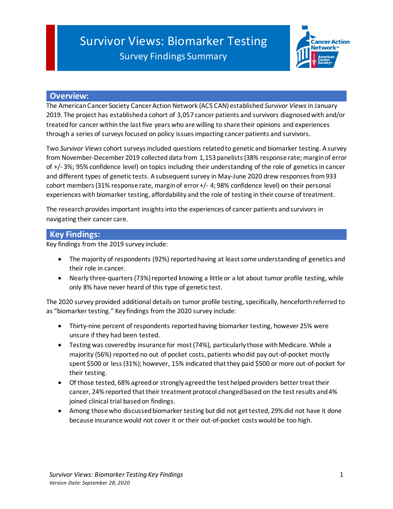# Survivor Views: Biomarker Testing Survey Findings Summary



### **Overview:**

The American Cancer Society Cancer Action Network (ACS CAN) established *Survivor Views* in January 2019. The project has established a cohort of 3,057 cancer patients and survivors diagnosed with and/or treated for cancer within the last five years who are willing to share their opinions and experiences through a series of surveys focused on policy issues impacting cancer patients and survivors.

Two *Survivor Views* cohort surveys included questions related to genetic and biomarker testing. A survey from November-December 2019 collected data from 1,153 panelists (38% response rate; margin of error of +/- 3%; 95% confidence level) on topics including their understanding of the role of genetics in cancer and different types of genetic tests. A subsequent survey in May-June 2020 drew responses from 933 cohort members (31% response rate, margin of error +/- 4; 98% confidence level) on their personal experiences with biomarker testing, affordability and the role of testing in their course of treatment.

The research provides important insights into the experiences of cancer patients and survivors in navigating their cancer care.

### **Key Findings:**

Key findings from the 2019 survey include:

- The majority of respondents (92%) reported having at least some understanding of genetics and their role in cancer.
- Nearly three-quarters(73%) reported knowing a little or a lot about tumor profile testing, while only 8% have never heard of this type of genetic test.

The 2020 survey provided additional details on tumor profile testing, specifically, henceforth referred to as "biomarker testing." Key findings from the 2020 survey include:

- Thirty-nine percent of respondents reported having biomarker testing, however 25% were unsure if they had been tested.
- Testing was covered by insurance for most (74%), particularly those with Medicare. While a majority (56%) reported no out of pocket costs, patients who did pay out-of-pocket mostly spent \$500 or less (31%); however, 15% indicated that they paid \$500 or more out-of-pocket for their testing.
- Of those tested, 68% agreed or strongly agreed the test helped providers better treat their cancer, 24% reported that their treatment protocol changed based on the test results and 4% joined clinical trial based on findings.
- Among those who discussed biomarker testing but did not get tested, 29% did not have it done because insurance would not cover it or their out-of-pocket costs would be too high.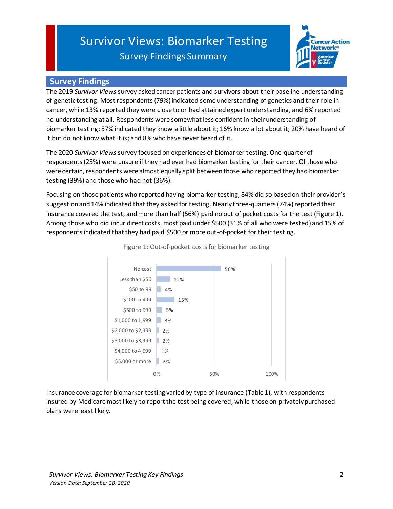# Survivor Views: Biomarker Testing Survey Findings Summary



# **Survey Findings**

The 2019 *Survivor Views*survey asked cancer patients and survivors about their baseline understanding of genetic testing. Most respondents(79%) indicated some understanding of genetics and their role in cancer, while 13% reported they were close to or had attained expert understanding, and 6% reported no understanding at all. Respondents were somewhat less confident in their understanding of biomarker testing: 57% indicated they know a little about it; 16% know a lot about it; 20% have heard of it but do not know what it is; and 8% who have never heard of it.

The 2020 *Survivor Views*survey focused on experiences of biomarker testing. One-quarter of respondents (25%) were unsure if they had ever had biomarker testing for their cancer. Of those who were certain, respondents were almost equally split between those who reported they had biomarker testing (39%) and those who had not (36%).

Focusing on those patients who reported having biomarker testing, 84% did so based on their provider's suggestionand14% indicated that they asked for testing. Nearly three-quarters(74%) reported their insurance covered the test, and more than half (56%) paid no out of pocket costs for the test (Figure 1). Among those who did incur direct costs, most paid under \$500 (31% of all who were tested) and 15% of respondents indicated that they had paid \$500 or more out-of-pocket for their testing.



Figure 1: Out-of-pocket costs for biomarker testing

Insurance coverage for biomarker testing varied by type of insurance (Table 1), with respondents insured by Medicare most likely to report the test being covered, while those on privately purchased plans were least likely.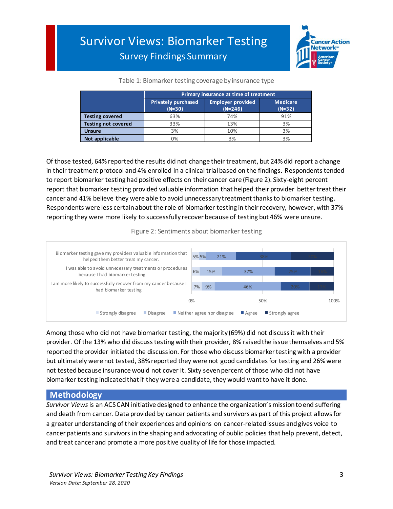

#### Table 1: Biomarker testing coverage by insurance type

|                            | Primary insurance at time of treatment |                                |                             |
|----------------------------|----------------------------------------|--------------------------------|-----------------------------|
|                            | <b>Privately purchased</b><br>$(N=30)$ | Employer provided<br>$(N=246)$ | <b>Medicare</b><br>$(N=32)$ |
| <b>Testing covered</b>     | 63%                                    | 74%                            | 91%                         |
| <b>Testing not covered</b> | 33%                                    | 13%                            | 3%                          |
| <b>Unsure</b>              | 3%                                     | 10%                            | 3%                          |
| Not applicable             | 0%                                     | 3%                             | 3%                          |

Of those tested, 64% reported the results did not change their treatment, but 24% did report a change in their treatment protocol and 4% enrolled in a clinical trial based on the findings. Respondents tended to report biomarker testing had positive effects on their cancer care (Figure 2). Sixty-eight percent report that biomarker testing provided valuable information that helped their provider better treat their cancer and 41% believe they were able to avoid unnecessary treatment thanks to biomarker testing. Respondents were less certain about the role of biomarker testing in their recovery, however, with 37% reporting they were more likely to successfully recover because of testing but 46% were unsure.

Figure 2: Sentiments about biomarker testing



Among those who did not have biomarker testing, the majority (69%) did not discuss it with their provider. Of the 13% who did discuss testing with their provider, 8% raised the issue themselves and 5% reported the provider initiated the discussion. For those who discuss biomarker testing with a provider but ultimately were not tested, 38% reported they were not good candidates for testing and 26% were not tested because insurance would not cover it. Sixty seven percent of those who did not have biomarker testing indicated that if they were a candidate, they would want to have it done.

## **Methodology**

*Survivor Views*is an ACS CAN initiative designed to enhance the organization's mission to end suffering and death from cancer. Data provided by cancer patients and survivors as part of this project allows for a greater understanding of their experiences and opinions on cancer-related issues and gives voice to cancer patients and survivors in the shaping and advocating of public policies that help prevent, detect, and treat cancer and promote a more positive quality of life for those impacted.